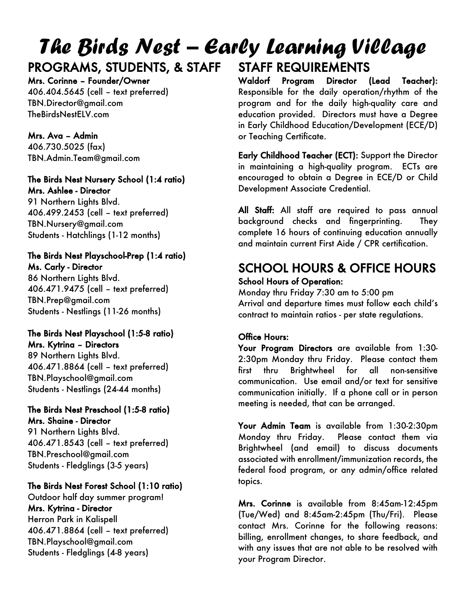### The Birds Nest – Early Learning Village PROGRAMS, STUDENTS, & STAFF STAFF REQUIREMENTS

## Mrs. Corinne – Founder/Owner

406.404.5645 (cell – text preferred) TBN.Director@gmail.com TheBirdsNestELV.com

Mrs. Ava – Admin 406.730.5025 (fax) TBN.Admin.Team@gmail.com

#### The Birds Nest Nursery School (1:4 ratio) Mrs. Ashlee - Director

91 Northern Lights Blvd. 406.499.2453 (cell – text preferred) TBN.Nursery@gmail.com Students - Hatchlings (1-12 months)

#### The Birds Nest Playschool-Prep (1:4 ratio) Ms. Carly - Director

86 Northern Lights Blvd. 406.471.9475 (cell – text preferred) TBN.Prep@gmail.com Students - Nestlings (11-26 months)

### The Birds Nest Playschool (1:5-8 ratio) Mrs. Kytrina – Directors

89 Northern Lights Blvd. 406.471.8864 (cell – text preferred) TBN.Playschool@gmail.com Students - Nestlings (24-44 months)

#### The Birds Nest Preschool (1:5-8 ratio) Mrs. Shaine - Director

91 Northern Lights Blvd. 406.471.8543 (cell – text preferred) TBN.Preschool@gmail.com Students - Fledglings (3-5 years)

### The Birds Nest Forest School (1:10 ratio)

Outdoor half day summer program! Mrs. Kytrina - Director Herron Park in Kalispell 406.471.8864 (cell – text preferred) TBN.Playschool@gmail.com Students - Fledglings (4-8 years)

Waldorf Program Director (Lead Teacher): Responsible for the daily operation/rhythm of the program and for the daily high-quality care and education provided. Directors must have a Degree in Early Childhood Education/Development (ECE/D)

Early Childhood Teacher (ECT): Support the Director in maintaining a high-quality program. ECTs are encouraged to obtain a Degree in ECE/D or Child Development Associate Credential.

All Staff: All staff are required to pass annual background checks and fingerprinting. They complete 16 hours of continuing education annually and maintain current First Aide / CPR certification.

### SCHOOL HOURS & OFFICE HOURS School Hours of Operation:

Monday thru Friday 7:30 am to 5:00 pm Arrival and departure times must follow each child's contract to maintain ratios - per state regulations.

### Office Hours:

or Teaching Certificate.

Your Program Directors are available from 1:30-2:30pm Monday thru Friday. Please contact them first thru Brightwheel for all non-sensitive communication. Use email and/or text for sensitive communication initially. If a phone call or in person meeting is needed, that can be arranged.

Your Admin Team is available from 1:30-2:30pm Monday thru Friday. Please contact them via Brightwheel (and email) to discuss documents associated with enrollment/immunization records, the federal food program, or any admin/office related topics.

Mrs. Corinne is available from 8:45am-12:45pm (Tue/Wed) and 8:45am-2:45pm (Thu/Fri). Please contact Mrs. Corinne for the following reasons: billing, enrollment changes, to share feedback, and with any issues that are not able to be resolved with your Program Director.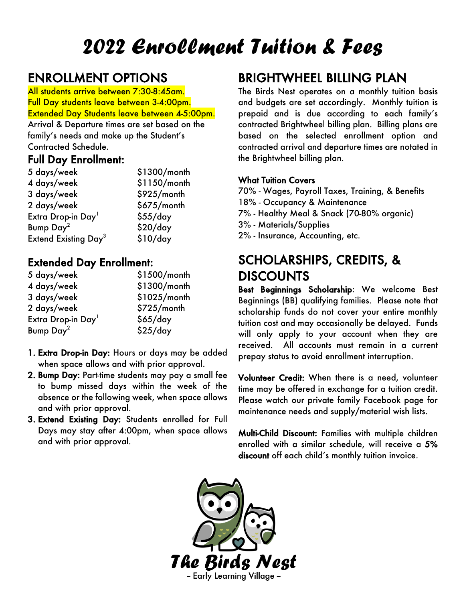# 2022 Enrollment Tuition & Fees

## ENROLLMENT OPTIONS

All students arrive between 7:30-8:45am. Full Day students leave between 3-4:00pm. Extended Day Students leave between 4-5:00pm.

Arrival & Departure times are set based on the family's needs and make up the Student's Contracted Schedule.

### Full Day Enrollment:

| 5 days/week                            | \$1300/month |
|----------------------------------------|--------------|
| 4 days/week                            | \$1150/month |
| 3 days/week                            | \$925/month  |
| 2 days/week                            | \$675/month  |
| Extra Drop-in Day <sup>1</sup>         | \$55/day     |
| Bump Day <sup>2</sup>                  | \$20/day     |
| <b>Extend Existing Day<sup>3</sup></b> | \$10/day     |

### Extended Day Enrollment:

| 5 days/week                    | \$1500/month |
|--------------------------------|--------------|
| 4 days/week                    | \$1300/month |
| 3 days/week                    | \$1025/month |
| 2 days/week                    | \$725/month  |
| Extra Drop-in Day <sup>1</sup> | \$65/day     |
| Bump Day <sup>2</sup>          | \$25/day     |

- 1. Extra Drop-in Day: Hours or days may be added when space allows and with prior approval.
- 2. Bump Day: Part-time students may pay a small fee to bump missed days within the week of the absence or the following week, when space allows and with prior approval.
- 3. Extend Existing Day: Students enrolled for Full Days may stay after 4:00pm, when space allows and with prior approval.

## BRIGHTWHEEL BILLING PLAN

The Birds Nest operates on a monthly tuition basis and budgets are set accordingly. Monthly tuition is prepaid and is due according to each family's contracted Brightwheel billing plan. Billing plans are based on the selected enrollment option and contracted arrival and departure times are notated in the Brightwheel billing plan.

### What Tuition Covers

70% - Wages, Payroll Taxes, Training, & Benefits 18% - Occupancy & Maintenance

7% - Healthy Meal & Snack (70-80% organic)

- 3% Materials/Supplies
- 2% Insurance, Accounting, etc.

# SCHOLARSHIPS, CREDITS, & DISCOUNTS<br>Best Beginnings Scholarship: We welcome Best

Beginnings (BB) qualifying families. Please note that scholarship funds do not cover your entire monthly tuition cost and may occasionally be delayed. Funds will only apply to your account when they are received. All accounts must remain in a current prepay status to avoid enrollment interruption.

Volunteer Credit: When there is a need, volunteer time may be offered in exchange for a tuition credit. Please watch our private family Facebook page for maintenance needs and supply/material wish lists.

Multi-Child Discount: Families with multiple children enrolled with a similar schedule, will receive a 5% discount off each child's monthly tuition invoice.